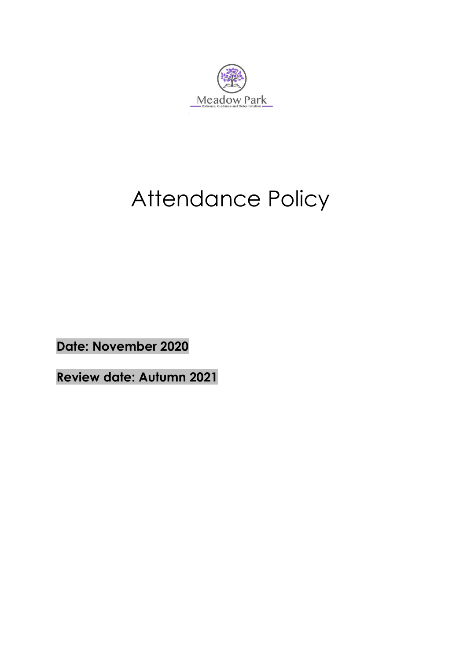

## Attendance Policy

**Date: November 2020**

**Review date: Autumn 2021**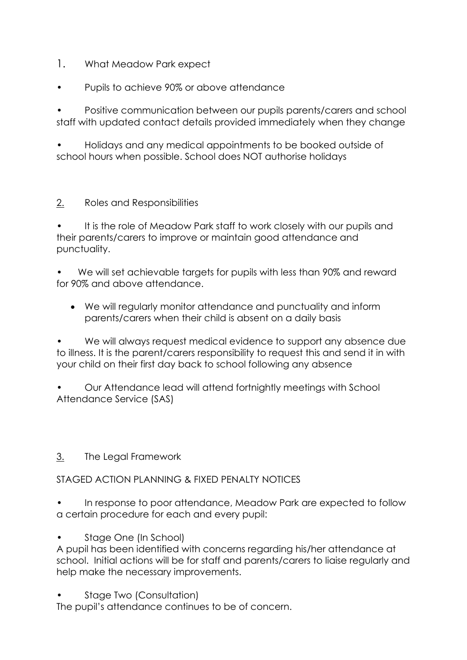- 1. What Meadow Park expect
- Pupils to achieve 90% or above attendance

• Positive communication between our pupils parents/carers and school staff with updated contact details provided immediately when they change

• Holidays and any medical appointments to be booked outside of school hours when possible. School does NOT authorise holidays

2. Roles and Responsibilities

It is the role of Meadow Park staff to work closely with our pupils and their parents/carers to improve or maintain good attendance and punctuality.

• We will set achievable targets for pupils with less than 90% and reward for 90% and above attendance.

• We will regularly monitor attendance and punctuality and inform parents/carers when their child is absent on a daily basis

We will always request medical evidence to support any absence due to illness. It is the parent/carers responsibility to request this and send it in with your child on their first day back to school following any absence

• Our Attendance lead will attend fortnightly meetings with School Attendance Service (SAS)

## 3. The Legal Framework

## STAGED ACTION PLANNING & FIXED PENALTY NOTICES

• In response to poor attendance, Meadow Park are expected to follow a certain procedure for each and every pupil:

Stage One (In School)

A pupil has been identified with concerns regarding his/her attendance at school. Initial actions will be for staff and parents/carers to liaise regularly and help make the necessary improvements.

• Stage Two (Consultation)

The pupil's attendance continues to be of concern.